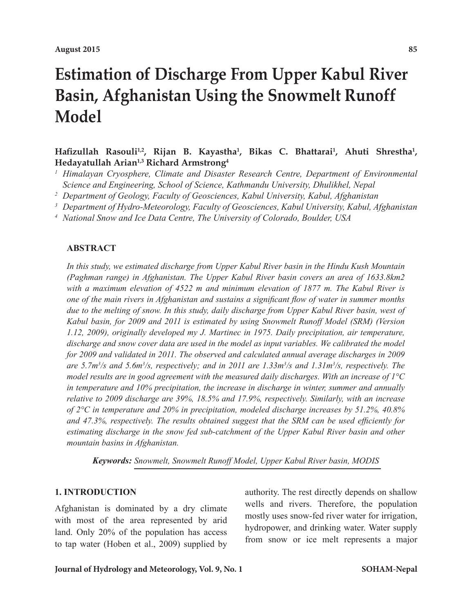# **Estimation of Discharge From Upper Kabul River Basin, Afghanistan Using the Snowmelt Runoff Model**

Hafizullah Rasouli<sup>1,2</sup>, Rijan B. Kayastha<sup>1</sup>, Bikas C. Bhattarai<sup>1</sup>, Ahuti Shrestha<sup>1</sup>, **Hedayatullah Arian1,3 Richard Armstrong4**

- *<sup>1</sup> Himalayan Cryosphere, Climate and Disaster Research Centre, Department of Environmental Science and Engineering, School of Science, Kathmandu University, Dhulikhel, Nepal*
- *<sup>2</sup> Department of Geology, Faculty of Geosciences, Kabul University, Kabul, Afghanistan*
- *<sup>3</sup> Department of Hydro-Meteorology, Faculty of Geosciences, Kabul University, Kabul, Afghanistan*
- *<sup>4</sup> National Snow and Ice Data Centre, The University of Colorado, Boulder, USA*

# **ABSTRACT**

*In this study, we estimated discharge from Upper Kabul River basin in the Hindu Kush Mountain (Paghman range) in Afghanistan. The Upper Kabul River basin covers an area of 1633.8km2 with a maximum elevation of 4522 m and minimum elevation of 1877 m. The Kabul River is one of the main rivers in Afghanistan and sustains a significant flow of water in summer months due to the melting of snow. In this study, daily discharge from Upper Kabul River basin, west of Kabul basin, for 2009 and 2011 is estimated by using Snowmelt Runoff Model (SRM) (Version 1.12, 2009), originally developed my J. Martinec in 1975. Daily precipitation, air temperature, discharge and snow cover data are used in the model as input variables. We calibrated the model*  for 2009 and validated in 2011. The observed and calculated annual average discharges in 2009 *are 5.7m3 /s and 5.6m3 /s, respectively; and in 2011 are 1.33m3 /s and 1.31m3 /s, respectively. The model results are in good agreement with the measured daily discharges. With an increase of 1°C in temperature and 10% precipitation, the increase in discharge in winter, summer and annually relative to 2009 discharge are 39%, 18.5% and 17.9%, respectively. Similarly, with an increase of 2°C in temperature and 20% in precipitation, modeled discharge increases by 51.2%, 40.8% and 47.3%, respectively. The results obtained suggest that the SRM can be used efficiently for estimating discharge in the snow fed sub-catchment of the Upper Kabul River basin and other mountain basins in Afghanistan.* 

*Keywords: Snowmelt, Snowmelt Runoff Model, Upper Kabul River basin, MODIS*

# **1. INTRODUCTION**

Afghanistan is dominated by a dry climate with most of the area represented by arid land. Only 20% of the population has access to tap water (Hoben et al., 2009) supplied by authority. The rest directly depends on shallow wells and rivers. Therefore, the population mostly uses snow-fed river water for irrigation, hydropower, and drinking water. Water supply from snow or ice melt represents a major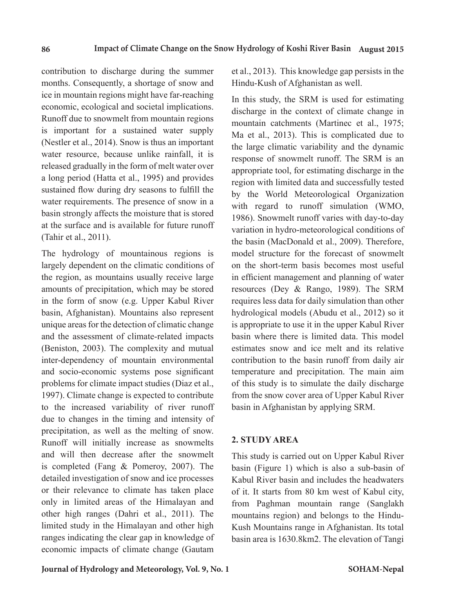contribution to discharge during the summer months. Consequently, a shortage of snow and ice in mountain regions might have far-reaching economic, ecological and societal implications. Runoff due to snowmelt from mountain regions is important for a sustained water supply (Nestler et al., 2014). Snow is thus an important water resource, because unlike rainfall, it is released gradually in the form of melt water over a long period (Hatta et al., 1995) and provides sustained flow during dry seasons to fulfill the water requirements. The presence of snow in a basin strongly affects the moisture that is stored at the surface and is available for future runoff (Tahir et al., 2011).

The hydrology of mountainous regions is largely dependent on the climatic conditions of the region, as mountains usually receive large amounts of precipitation, which may be stored in the form of snow (e.g. Upper Kabul River basin, Afghanistan). Mountains also represent unique areas for the detection of climatic change and the assessment of climate-related impacts (Beniston, 2003). The complexity and mutual inter-dependency of mountain environmental and socio-economic systems pose significant problems for climate impact studies (Diaz et al., 1997). Climate change is expected to contribute to the increased variability of river runoff due to changes in the timing and intensity of precipitation, as well as the melting of snow. Runoff will initially increase as snowmelts and will then decrease after the snowmelt is completed (Fang & Pomeroy, 2007). The detailed investigation of snow and ice processes or their relevance to climate has taken place only in limited areas of the Himalayan and other high ranges (Dahri et al., 2011). The limited study in the Himalayan and other high ranges indicating the clear gap in knowledge of economic impacts of climate change (Gautam

**Journal of Hydrology and Meteorology, Vol. 9, No. 1 SOHAM-Nepal**

et al., 2013). This knowledge gap persists in the Hindu-Kush of Afghanistan as well.

In this study, the SRM is used for estimating discharge in the context of climate change in mountain catchments (Martinec et al., 1975; Ma et al., 2013). This is complicated due to the large climatic variability and the dynamic response of snowmelt runoff. The SRM is an appropriate tool, for estimating discharge in the region with limited data and successfully tested by the World Meteorological Organization with regard to runoff simulation (WMO, 1986). Snowmelt runoff varies with day-to-day variation in hydro-meteorological conditions of the basin (MacDonald et al., 2009). Therefore, model structure for the forecast of snowmelt on the short-term basis becomes most useful in efficient management and planning of water resources (Dey & Rango, 1989). The SRM requires less data for daily simulation than other hydrological models (Abudu et al., 2012) so it is appropriate to use it in the upper Kabul River basin where there is limited data. This model estimates snow and ice melt and its relative contribution to the basin runoff from daily air temperature and precipitation. The main aim of this study is to simulate the daily discharge from the snow cover area of Upper Kabul River basin in Afghanistan by applying SRM.

### **2. STUDY AREA**

This study is carried out on Upper Kabul River basin (Figure 1) which is also a sub-basin of Kabul River basin and includes the headwaters of it. It starts from 80 km west of Kabul city, from Paghman mountain range (Sanglakh mountains region) and belongs to the Hindu-Kush Mountains range in Afghanistan. Its total basin area is 1630.8km2. The elevation of Tangi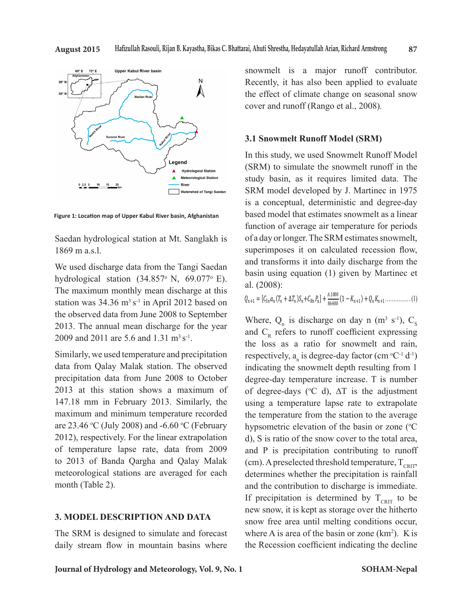

**Figure 1: Location map of Upper Kabul River basin, Afghanistan**

Saedan hydrological station at Mt. Sanglakh is 1869 m a.s.l.

We used discharge data from the Tangi Saedan hydrological station  $(34.857<sup>o</sup> N, 69.077<sup>o</sup> E)$ . The maximum monthly mean discharge at this station was  $34.36$  m<sup>3</sup> s<sup>-1</sup> in April 2012 based on the observed data from June 2008 to September 2013. The annual mean discharge for the year 2009 and 2011 are 5.6 and 1.31  $\text{m}^3 \text{s}^{-1}$ .

Similarly, we used temperature and precipitation data from Qalay Malak station. The observed precipitation data from June 2008 to October 2013 at this station shows a maximum of 147.18 mm in February 2013. Similarly, the maximum and minimum temperature recorded are 23.46  $\rm{°C}$  (July 2008) and -6.60  $\rm{°C}$  (February 2012), respectively. For the linear extrapolation of temperature lapse rate, data from 2009 to 2013 of Banda Qargha and Qalay Malak meteorological stations are averaged for each month (Table 2).

# **3. MODEL DESCRIPTION AND DATA**

The SRM is designed to simulate and forecast daily stream flow in mountain basins where snowmelt is a major runoff contributor. Recently, it has also been applied to evaluate the effect of climate change on seasonal snow cover and runoff (Rango et al., 2008).

# 3.1 Snowmelt Runoff Model (SRM)

In this study, we used Snowmelt Runoff Model (SRM) to simulate the snowmelt runoff in the study basin, as it requires limited data. The SRM model developed by J. Martinec in 1975 is a conceptual, deterministic and degree-day based model that estimates snowmelt as a linear function of average air temperature for periods of a day or longer. The SRM estimates snowmelt, superimposes it on calculated recession flow, and transforms it into daily discharge from the basin using equation (1) given by Martinec et al. (2008): rainfall-contributing area, and lag time are the eight model parameters (Table 2).

$$
Q_{n+1} = [C_{Sn}a_n(T_n + \Delta T_n)S_n + C_{Rn}P_n] + \frac{A.1000}{86400}(1 - K_{n+1}) + Q_n K_{n+1} \dots \dots \dots \dots \dots (1)
$$

Where,  $Q_n$  is discharge on day n (m<sup>3</sup> s<sup>-1</sup>),  $C_s$ and  $C_R$  refers to runoff coefficient expressing the loss as a ratio for snowmelt and rain, respectively,  $a_n$  is degree-day factor (cm  ${}^{\circ}C^{-1}$  d<sup>-1</sup>) indicating the snowmelt depth resulting from 1 degree-day temperature increase. T is number of degree-days ( $\degree$ C d),  $\Delta$ T is the adjustment using a temperature lapse rate to extrapolate the temperature from the station to the average hypsometric elevation of the basin or zone  $({}^{\circ}C)$ d), S is ratio of the snow cover to the total area, and P is precipitation contributing to runoff (cm). A preselected threshold temperature,  $T_{CRTP}$ determines whether the precipitation is rainfall and the contribution to discharge is immediate. If precipitation is determined by  $T_{\text{CRT}}$  to be new snow, it is kept as storage over the hitherto snow free area until melting conditions occur, where A is area of the basin or zone  $(km^2)$ . K is the Recession coefficient indicating the decline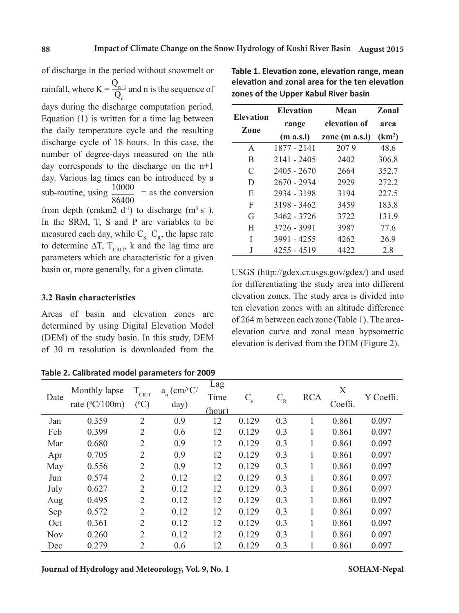of discharge in the period without snowmelt or rainfall, where  $K = \frac{Q_{n+1}}{Q}$  $Q_n$  and n is the sequence of days during the discharge computation period. Equation (1) is written for a time lag between the daily temperature cycle and the resulting discharge cycle of 18 hours. In this case, the number of degree-days measured on the nth day corresponds to the discharge on the n+1 day. Various lag times can be introduced by a sub-routine, using  $\frac{10000}{256488}$ 86400 = as the conversion from depth (cmkm2 d<sup>-1</sup>) to discharge (m<sup>3</sup> s<sup>-1</sup>). In the SRM, T, S and P are variables to be measured each day, while  $C_{\rm s}$ ,  $C_{\rm R}$ , the lapse rate to determine  $\Delta T$ ,  $T_{CRT}$ , k and the lag time are parameters which are characteristic for a given basin or, more generally, for a given climate.

# **3.2 Basin characteristics**

Areas of basin and elevation zones are determined by using Digital Elevation Model (DEM) of the study basin. In this study, DEM of 30 m resolution is downloaded from the

**Table 2. Calibrated model parameters for 2009**

| Journal of Hydrology and Meteorology, Vol. 9, No. 1 | SOHAM-Nepal |
|-----------------------------------------------------|-------------|
|                                                     |             |

**Table 1. Elevation zone, elevation range, mean elevation and zonal area for the ten elevation zones of the Upper Kabul River basin**

| <b>Elevation</b> | <b>Elevation</b><br>Mean |                | <b>Zonal</b>       |  |
|------------------|--------------------------|----------------|--------------------|--|
| Zone             | range                    | elevation of   | area               |  |
|                  | (m a.s.l)                | zone (m a.s.l) | (km <sup>2</sup> ) |  |
| A                | 1877 - 2141              | 2079           | 48.6               |  |
| B                | 2141 - 2405              | 2402           | 306.8              |  |
| C                | 2405 - 2670              | 2664           | 352.7              |  |
| D                | 2670 - 2934              | 2929           | 272.2              |  |
| E                | 2934 - 3198              | 3194           | 227.5              |  |
| F                | 3198 - 3462              | 3459           | 183.8              |  |
| G                | 3462 - 3726              | 3722           | 131.9              |  |
| H                | 3726 - 3991              | 3987           | 77.6               |  |
| I                | 3991 - 4255              | 4262           | 26.9               |  |
| J                | 4255 - 4519              | 4422           | 2.8                |  |

USGS (http://gdex.cr.usgs.gov/gdex/) and used for differentiating the study area into different elevation zones. The study area is divided into ten elevation zones with an altitude difference of 264 m between each zone (Table 1). The areaelevation curve and zonal mean hypsometric elevation is derived from the DEM (Figure 2).

| Date       | Monthly lapse<br>rate ( $°C/100m$ ) | $T_{\text{CRIT}}$<br>$({}^{\circ}C)$ | $a_n$ (cm/°C/<br>day) | Lag<br>Time<br>(hour) | $C_{\rm s}$ | $\mathbf{C}_{\text{\tiny R}}$ | <b>RCA</b> | Χ<br>Coeffi. | Y Coeffi. |
|------------|-------------------------------------|--------------------------------------|-----------------------|-----------------------|-------------|-------------------------------|------------|--------------|-----------|
| Jan        | 0.359                               | $\overline{2}$                       | 0.9                   | 12                    | 0.129       | 0.3                           | 1          | 0.861        | 0.097     |
| Feb        | 0.399                               | $\overline{2}$                       | 0.6                   | 12                    | 0.129       | 0.3                           |            | 0.861        | 0.097     |
| Mar        | 0.680                               | $\overline{2}$                       | 0.9                   | 12                    | 0.129       | 0.3                           |            | 0.861        | 0.097     |
| Apr        | 0.705                               | $\overline{2}$                       | 0.9                   | 12                    | 0.129       | 0.3                           |            | 0.861        | 0.097     |
| May        | 0.556                               | $\overline{2}$                       | 0.9                   | 12                    | 0.129       | 0.3                           |            | 0.861        | 0.097     |
| Jun        | 0.574                               | $\overline{2}$                       | 0.12                  | 12                    | 0.129       | 0.3                           | 1          | 0.861        | 0.097     |
| July       | 0.627                               | $\overline{2}$                       | 0.12                  | 12                    | 0.129       | 0.3                           |            | 0.861        | 0.097     |
| Aug        | 0.495                               | $\overline{2}$                       | 0.12                  | 12                    | 0.129       | 0.3                           |            | 0.861        | 0.097     |
| Sep        | 0.572                               | $\overline{2}$                       | 0.12                  | 12                    | 0.129       | 0.3                           | 1          | 0.861        | 0.097     |
| Oct        | 0.361                               | $\overline{2}$                       | 0.12                  | 12                    | 0.129       | 0.3                           | 1          | 0.861        | 0.097     |
| <b>Nov</b> | 0.260                               | $\overline{2}$                       | 0.12                  | 12                    | 0.129       | 0.3                           | 1          | 0.861        | 0.097     |
| Dec        | 0.279                               | 2                                    | 0.6                   | 12                    | 0.129       | 0.3                           |            | 0.861        | 0.097     |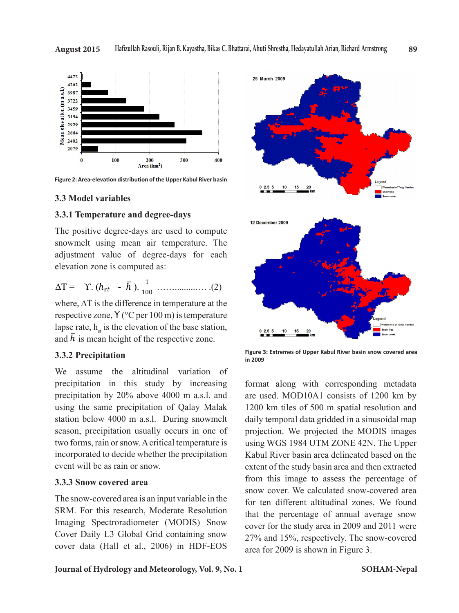

The positive degree-days are used to compute adjustment value of degree-days for each  $\mathbb{R}^n$ elevation zone is computed as: **3.3 Model variables** 

$$
\Delta T = \Upsilon \cdot (h_{st} - \bar{h}) \cdot \frac{1}{100} \dots \dots \dots \dots \dots \dots \dots \dots \tag{2}
$$

and  $\overline{h}$  is mean height of the respective zone. respective zone,  $Y$  ( $°C$  per 100 m) is temperature

**Example 12.3.3.2 Precise rate is the altitudinal variation** of the electronic the base station, and *Precise* precipitation in this study by increasing format along with corresponding metadata using the same precipitation of Qalay Malak 1200 km tiles of 500 m spatial resolution and station below 4000 m a.s.l. During snowmelt daily temporal data gridded in a sinusoidal map two forms, rain or snow. A critical temperature is using WGS 1984 UTM ZONE 42N. The Upper incorporated to decide whether the precipitation Kabul River basin area delineated respectively. **3.3.2 Precipitation** precipitation in this study by increasing precipitation by 20% above 4000 m a.s.l. and using the same precipitation of Qalay Malak station below 4000 m a.s.l. During snowmelt season, precipitation usually occurs in one of event will be as rain or snow.

### **3.3.3 Snow covered area**

The snow-covered area is an input variable in the SRM. For this research, Moderate Resolution Imaging Spectroradiometer (MODIS) Snow Cover Daily L3 Global Grid containing snow cover data (Hall et al., 2006) in HDF-EOS



**3.3.2 Precipitation**<br>in 2009 in 2009 **Figure 3: Extremes of Upper Kabul River basin snow covered area in 2009**

a. Such a precipitation usually of the study of the study of the study of the study of two forms, rain or snow  $\frac{1}{2}$  and  $\frac{1}{2}$  from this image to assess the percentage of  $\frac{1}{2}$ snow cover the means of the precipitation event will be assumed to decide whether the precipitation event will be assumed area snow cover. We calculated snow-covered area are used. MOD10A1 consists of 1200 km by projection. We projected the MODIS images using WGS 1984 UTM ZONE 42N. The Upper Kabul River basin area delineated based on the extent of the study basin area and then extracted for ten different altitudinal zones. We found that the percentage of annual average snow cover for the study area in 2009 and 2011 were 27% and 15%, respectively. The snow-covered area for 2009 is shown in Figure 3.

### **Journal of Hydrology and Meteorology, Vol. 9, No. 1**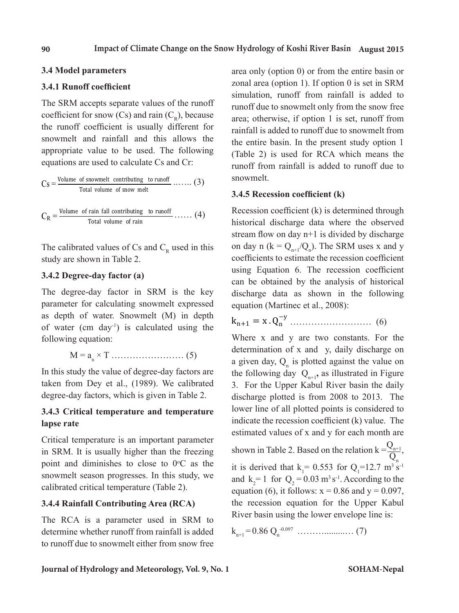# 3.4 Model parameters

#### **3.4.1 Runoff coefficient 3.4 Model parameters**

The SRM accepts separate values of the runoff coefficient for snow  $(Cs)$  and rain  $(C_R)$ , because the runoff coefficient is usually different for  $\frac{1}{\pi}$  rainfall is added to runoff due snowmelt and rainfall and this allows the run the entire basin. In the runoff coefficient for some coefficient for the run in the run in the run in the run in the run in the run in the run in the run in the run in the run appropriate value to be used. The following  $(Table 2)$  is used for R equations are used to calculate Cs and Cr: The following equations are used to calculate Cs and Cr: <sup>1</sup>  $\frac{1}{2}$  approximations are used to calculate Cs and Cr:

$$
Cs = \frac{\text{Volume of snowmelt.}}{\text{Total volume of snow melt}} \dots \dots \text{ (3)}
$$
\n3.4.5 **Recession coefficient (k)**

\n3.4.5 **Recession coefficient (k)**

 $\sum_{R}$  Total volume of rain  $\sum_{R}$  historical discharged  $C_R = \frac{\text{volume of rain}}{\text{Total volume of rain}} \dots (4)$  Recession coefficient.

study are shown in Table 2.  $\qquad \qquad \text{coeffi}$ The calibrated values of Cs and  $C_R$  used in this on day n

#### **3.4.2 Degree-day factor (a) 3.4.2 Degree-day factor (a) 3.4.2 Degree-day factor (a)**

The degree-day factor in SRM is the key discharge data as show parameter for calculating snowmelt of water (cm day<sup>-1</sup>) is calculated using the  $K_{n+1} = X \cdot Q_n$ . In this study the value of the value of the value of the value of the value of the value of the value of the value of the value of the value of the value of the value of the value of the value of the value of the value of parameter for calculating snowmelt expressed as depth of water. Snowmelt (M) in depth  $\mathbf{k}_{\text{tot}} = \mathbf{x} \ \mathbf{0}^{-y}$ following equation: Where x and y are two constants. For the following equation:

$$
M = a_n \times T \dots \dots \dots \dots \dots \dots \dots \dots \quad (5)
$$

**3.4.3 Critical temperature and temperature lapse rate** degree-day factors, which is given in Table 2. taken from Dey et al., (1989). We calibrated In this study the value of degree-day factors are

# **3.4.3 Critical temperature and temperature lapse rate**

Critical temperature is an important parameter in SRM. It is usually higher than the freezing point and diminishes to close to  $0^{\circ}$ C as the snowmelt season progresses. In this study, we calibrated critical temperature (Table 2).

# **3.4.4 Rainfall Contributing Area (RCA)**

The RCA is a parameter used in SRM to determine whether runoff from rainfall is added to runoff due to snowmelt either from snow free

snowmelt and rainfall and this allows the the entire basin. In the present study option 1 area only (option 0) or from the entire basin or zonal area (option 1). If option 0 is set in SRM simulation, runoff from rainfall is added to The RCA is a parameter unoff due to snow melt only from the snow free  $\frac{\text{area}}{\text{area}}$  area; otherwise, if option 1 is set, runoff from the entire basin or from the entire basin or from the entire basin or from the entire basin or from the entire basin or from the entire basin or from the ent rainfall is added to runoff due to snowmelt from  $wing$  (Table 2) is used for RCA which means the runoff from rainfall is added to runoff due to snowmelt. added to the entire basin option the entries option of the present study of  $\mathcal{L}$ 

 $\mathcal{L}$  apressed equation (Martinec et a  $T = 2\epsilon$  is the key parameter (a) can be obtained by the analysis of historical pressed equation (Martinec et al., 2008): Recession coefficient (k) is determined through **3.4.5 historical discharge data where the observed** stream flow on day  $n+1$  is divided by discharge on day n ( $k = Q_{n+1}/Q_n$ ). The SRM uses x and y  $\frac{1}{\sqrt{1+\frac{1}{n}}}$  coefficients to estimate the recession coefficient using Equation 6. The recession coefficient key discharge data as shown in the following

$$
k_{n+1} = x \cdot Q_n^{-y} \dots \dots \dots \dots \dots \dots \dots \quad (6)
$$

determination of x and y, daily discharge on the figure 3. For the figure 3. For the figure 3. For the figure 3. For the figure 3. For the figure 3. For the figure 3. For the figure 3. For the figure 3. For the figure 3. F Example 18 the following day  $Q_{n+1}$ , as illustrated in Figure rated 3. For the Upper Kabul River basin the daily ture lower line of all plotted points is considered to indicate the recession coefficient  $(k)$  value. The estimated values of  $r$  and  $s$  for each map the recession a given day,  $Q_n$  is plotted against the value on discharge plotted is from 2008 to 2013. The estimated values of x and y for each month are

follows:  $\frac{1}{2}$  and  $\frac{1}{2}$  and  $\frac{1}{2}$  and  $\frac{1}{2}$  and  $\frac{1}{2}$  and  $\frac{1}{2}$   $\frac{1}{2}$  and  $\frac{1}{2}$  and  $\frac{1}{2}$  and  $\frac{1}{2}$  and  $\frac{1}{2}$  and  $\frac{1}{2}$  and  $\frac{1}{2}$  and  $\frac{1}{2}$  and  $\frac{1}{2}$  and  $\frac{1}{$  $\frac{1}{\pi}$  the issue is in the issue is  $\frac{1}{\pi}$ and  $k_2 = 1$  for  $Q_2 = 0.03$  m<sup>3</sup> s<sup>-1</sup>. According to the shown in Table 2. Based on the relation  $k = \frac{Q_{n+1}}{Q_{n+1}}$  $Q_{n}$ , it is derived that  $k_1 = 0.553$  for  $Q_1 = 12.7$  m<sup>3</sup> s<sup>-1</sup> equation (6), it follows:  $x = 0.86$  and  $y = 0.097$ , the recession equation for the Upper Kabul River basin using the lower envelope line is:

 $k_{n+1} = 0.86 Q_n^{-0.097} \dots (7)$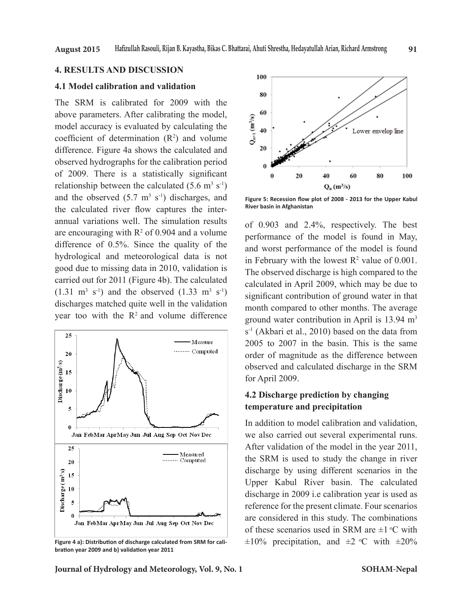### **4. RESULTS AND DISCUSSION**

### **4.1 Model calibration and validation**

The SRM is calibrated for 2009 with the above parameters. After calibrating the model, model accuracy is evaluated by calculating the coefficient of determination  $(R^2)$  and volume difference. Figure 4a shows the calculated and observed hydrographs for the calibration period of 2009. There is a statistically significant relationship between the calculated  $(5.6 \text{ m}^3 \text{ s}^{-1})$ and the observed  $(5.7 \text{ m}^3 \text{ s}^{-1})$  discharges, and the calculated river flow captures the interannual variations well. The simulation results are encouraging with  $R^2$  of 0.904 and a volume difference of 0.5%. Since the quality of the hydrological and meteorological data is not good due to missing data in 2010, validation is carried out for 2011 (Figure 4b). The calculated  $(1.31 \text{ m}^3 \text{ s}^{-1})$  and the observed  $(1.33 \text{ m}^3 \text{ s}^{-1})$ discharges matched quite well in the validation year too with the  $R<sup>2</sup>$  and volume difference



**Figure 4 a): Distribution of discharge calculated from SRM for calibration year 2009 and b) validation year 2011** 



**Figure 5: Recession flow plot of 2008 - 2013 for the Upper Kabul River basin in Afghanistan**

of 0.903 and 2.4%, respectively. The best performance of the model is found in May, and worst performance of the model is found in February with the lowest  $R^2$  value of 0.001. The observed discharge is high compared to the calculated in April 2009, which may be due to significant contribution of ground water in that month compared to other months. The average ground water contribution in April is 13.94 m<sup>3</sup>  $s<sup>-1</sup>$  (Akbari et al., 2010) based on the data from 2005 to 2007 in the basin. This is the same order of magnitude as the difference between observed and calculated discharge in the SRM for April 2009.

# **4.2 Discharge prediction by changing temperature and precipitation**

In addition to model calibration and validation, we also carried out several experimental runs. After validation of the model in the year 2011, the SRM is used to study the change in river discharge by using different scenarios in the Upper Kabul River basin. The calculated discharge in 2009 i.e calibration year is used as reference for the present climate. Four scenarios are considered in this study. The combinations of these scenarios used in SRM are  $\pm 1$  °C with  $\pm 10\%$  precipitation, and  $\pm 2$  °C with  $\pm 20\%$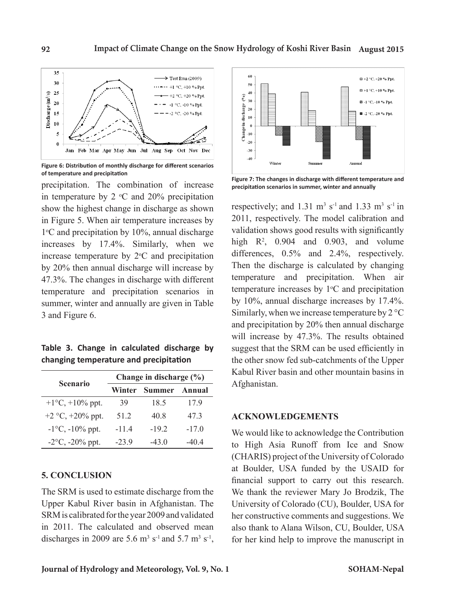

**Figure 6: Distribution of monthly discharge for different scenarios of temperature and precipitation**

precipitation. The combination of increase in temperature by 2  $\mathrm{^{\circ}C}$  and 20% precipitation show the highest change in discharge as shown in Figure 5. When air temperature increases by 1<sup>o</sup>C and precipitation by 10%, annual discharge increases by 17.4%. Similarly, when we increase temperature by  $2^{\circ}$ C and precipitation by 20% then annual discharge will increase by 47.3%. The changes in discharge with different temperature and precipitation scenarios in summer, winter and annually are given in Table 3 and Figure 6.

**Table 3. Change in calculated discharge by changing temperature and precipitation**

| <b>Scenario</b>           | Change in discharge $(\% )$ |               |         |  |  |
|---------------------------|-----------------------------|---------------|---------|--|--|
|                           | Winter                      | <b>Summer</b> | Annual  |  |  |
| $+1$ °C, $+10\%$ ppt.     | 39                          | 18.5          | 17.9    |  |  |
| +2 $\degree$ C, +20% ppt. | 51 2                        | 40.8          | 47.3    |  |  |
| $-1$ °C, $-10\%$ ppt.     | $-11.4$                     | $-19.2$       | $-17.0$ |  |  |
| $-2$ °C, $-20\%$ ppt.     | $-239$                      | $-43.0$       | -404    |  |  |

# **5. CONCLUSION**

The SRM is used to estimate discharge from the Upper Kabul River basin in Afghanistan. The SRM is calibrated for the year 2009 and validated in 2011. The calculated and observed mean discharges in 2009 are 5.6  $\text{m}^3$  s<sup>-1</sup> and 5.7  $\text{m}^3$  s<sup>-1</sup>,



**Figure 7: The changes in discharge with different temperature and precipitation scenarios in summer, winter and annually**

respectively; and  $1.31 \text{ m}^3 \text{ s}^{-1}$  and  $1.33 \text{ m}^3 \text{ s}^{-1}$  in 2011, respectively. The model calibration and validation shows good results with significantly high  $R^2$ , 0.904 and 0.903, and volume differences, 0.5% and 2.4%, respectively. Then the discharge is calculated by changing temperature and precipitation. When air temperature increases by  $1^{\circ}$ C and precipitation by 10%, annual discharge increases by 17.4%. Similarly, when we increase temperature by 2 °C and precipitation by 20% then annual discharge will increase by 47.3%. The results obtained suggest that the SRM can be used efficiently in the other snow fed sub-catchments of the Upper Kabul River basin and other mountain basins in Afghanistan.

# **ACKNOWLEDGEMENTS**

We would like to acknowledge the Contribution to High Asia Runoff from Ice and Snow (CHARIS) project of the University of Colorado at Boulder, USA funded by the USAID for financial support to carry out this research. We thank the reviewer Mary Jo Brodzik, The University of Colorado (CU), Boulder, USA for her constructive comments and suggestions. We also thank to Alana Wilson, CU, Boulder, USA for her kind help to improve the manuscript in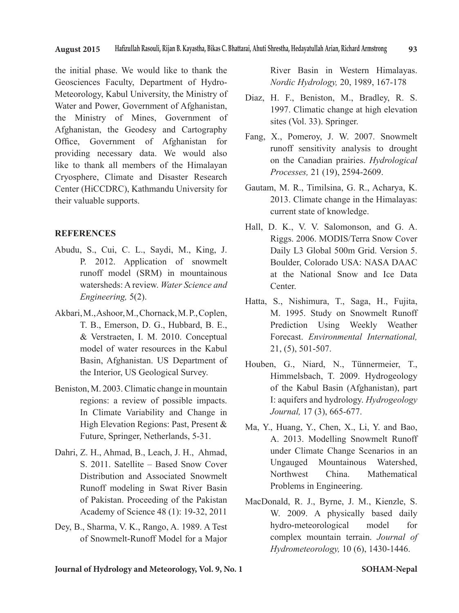the initial phase. We would like to thank the Geosciences Faculty, Department of Hydro-Meteorology, Kabul University, the Ministry of Water and Power, Government of Afghanistan, the Ministry of Mines, Government of Afghanistan, the Geodesy and Cartography Office, Government of Afghanistan for providing necessary data. We would also like to thank all members of the Himalayan Cryosphere, Climate and Disaster Research Center (HiCCDRC), Kathmandu University for their valuable supports.

# **REFERENCES**

- Abudu, S., Cui, C. L., Saydi, M., King, J. P. 2012. Application of snowmelt runoff model (SRM) in mountainous watersheds: A review. *Water Science and Engineering,* 5(2).
- Akbari, M., Ashoor, M., Chornack, M. P., Coplen, T. B., Emerson, D. G., Hubbard, B. E., & Verstraeten, I. M. 2010. Conceptual model of water resources in the Kabul Basin, Afghanistan. US Department of the Interior, US Geological Survey.
- Beniston, M. 2003. Climatic change in mountain regions: a review of possible impacts. In Climate Variability and Change in High Elevation Regions: Past, Present & Future, Springer, Netherlands, 5-31.
- Dahri, Z. H., Ahmad, B., Leach, J. H., Ahmad, S. 2011. Satellite – Based Snow Cover Distribution and Associated Snowmelt Runoff modeling in Swat River Basin of Pakistan. Proceeding of the Pakistan Academy of Science 48 (1): 19-32, 2011
- Dey, B., Sharma, V. K., Rango, A. 1989. A Test of Snowmelt-Runoff Model for a Major

River Basin in Western Himalayas. *Nordic Hydrology,* 20, 1989, 167-178

- Diaz, H. F., Beniston, M., Bradley, R. S. 1997. Climatic change at high elevation sites (Vol. 33). Springer.
- Fang, X., Pomeroy, J. W. 2007. Snowmelt runoff sensitivity analysis to drought on the Canadian prairies. *Hydrological Processes,* 21 (19), 2594-2609.
- Gautam, M. R., Timilsina, G. R., Acharya, K. 2013. Climate change in the Himalayas: current state of knowledge.
- Hall, D. K., V. V. Salomonson, and G. A. Riggs. 2006. MODIS/Terra Snow Cover Daily L3 Global 500m Grid. Version 5. Boulder, Colorado USA: NASA DAAC at the National Snow and Ice Data Center.
- Hatta, S., Nishimura, T., Saga, H., Fujita, M. 1995. Study on Snowmelt Runoff Prediction Using Weekly Weather Forecast. *Environmental International,*  21, (5), 501-507.
- Houben, G., Niard, N., Tünnermeier, T., Himmelsbach, T. 2009. Hydrogeology of the Kabul Basin (Afghanistan), part I: aquifers and hydrology. *Hydrogeology Journal,* 17 (3), 665-677.
- Ma, Y., Huang, Y., Chen, X., Li, Y. and Bao, A. 2013. Modelling Snowmelt Runoff under Climate Change Scenarios in an Ungauged Mountainous Watershed, Northwest China. Mathematical Problems in Engineering.
- MacDonald, R. J., Byrne, J. M., Kienzle, S. W. 2009. A physically based daily hydro-meteorological model for complex mountain terrain. *Journal of Hydrometeorology,* 10 (6), 1430-1446.